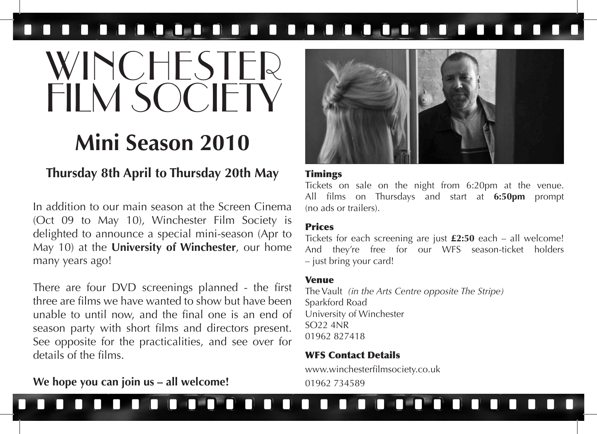## 

# WINCHESTER FILM SOCIETY

# **Mini Season 2010**

### **Thursday 8th April to Thursday 20th May**

In addition to our main season at the Screen Cinema (Oct 09 to May 10), Winchester Film Society is delighted to announce a special mini-season (Apr to May 10) at the **University of Winchester**, our home many years ago!

There are four DVD screenings planned - the first three are films we have wanted to show but have been unable to until now, and the final one is an end of season party with short films and directors present. See opposite for the practicalities, and see over for details of the films.

### **We hope you can join us – all welcome!**



### **Timings**

Tickets on sale on the night from 6:20pm at the venue. All films on Thursdays and start at **6:50pm** prompt (no ads or trailers).

### Prices

Tickets for each screening are just **£2:50** each – all welcome! And they're free for our WFS season-ticket holders – just bring your card!

### Venue

The Vault *(in the Arts Centre opposite The Stripe)* Sparkford Road University of Winchester SO22 4NR 01962 827418

### WFS Contact Details

www.winchesterfilmsociety.co.uk 01962 734589